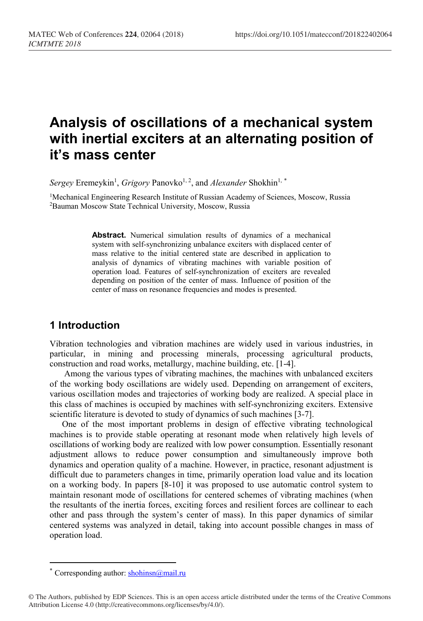# **Analysis of oscillations of a mechanical system with inertial exciters at an alternating position of it's mass center**

 $Sergey$  Eremeykin<sup>1</sup>, *Grigory* Panovko<sup>1, 2</sup>, and *Alexander* Shokhin<sup>1, [\\*](#page-0-0)</sup>

<sup>1</sup>Mechanical Engineering Research Institute of Russian Academy of Sciences, Moscow, Russia 2Bauman Moscow State Technical University, Moscow, Russia

> Abstract. Numerical simulation results of dynamics of a mechanical system with self-synchronizing unbalance exciters with displaced center of mass relative to the initial centered state are described in application to analysis of dynamics of vibrating machines with variable position of operation load. Features of self-synchronization of exciters are revealed depending on position of the center of mass. Influence of position of the center of mass on resonance frequencies and modes is presented.

## **1 Introduction**

Vibration technologies and vibration machines are widely used in various industries, in particular, in mining and processing minerals, processing agricultural products, construction and road works, metallurgy, machine building, etc. [1-4].

Among the various types of vibrating machines, the machines with unbalanced exciters of the working body oscillations are widely used. Depending on arrangement of exciters, various oscillation modes and trajectories of working body are realized. A special place in this class of machines is occupied by machines with self-synchronizing exciters. Extensive scientific literature is devoted to study of dynamics of such machines [3-7].

One of the most important problems in design of effective vibrating technological machines is to provide stable operating at resonant mode when relatively high levels of oscillations of working body are realized with low power consumption. Essentially resonant adjustment allows to reduce power consumption and simultaneously improve both dynamics and operation quality of a machine. However, in practice, resonant adjustment is difficult due to parameters changes in time, primarily operation load value and its location on a working body. In papers [8-10] it was proposed to use automatic control system to maintain resonant mode of oscillations for centered schemes of vibrating machines (when the resultants of the inertia forces, exciting forces and resilient forces are collinear to each other and pass through the system's center of mass). In this paper dynamics of similar centered systems was analyzed in detail, taking into account possible changes in mass of operation load.

 $\overline{a}$ 

Corresponding author:  $shohinsn@mail.ru$ 

<span id="page-0-0"></span><sup>©</sup> The Authors, published by EDP Sciences. This is an open access article distributed under the terms of the Creative Commons Attribution License 4.0 (http://creativecommons.org/licenses/by/4.0/).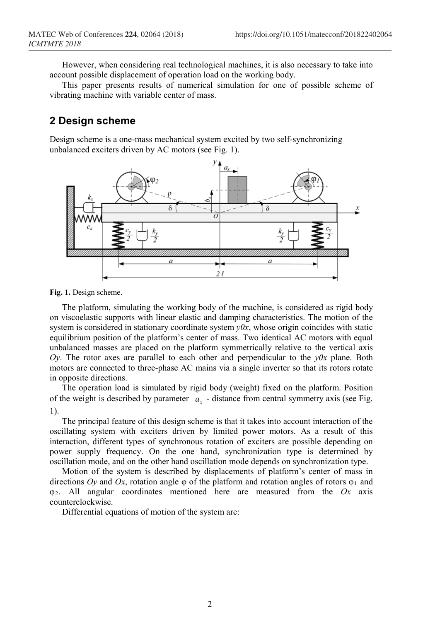However, when considering real technological machines, it is also necessary to take into account possible displacement of operation load on the working body.

This paper presents results of numerical simulation for one of possible scheme of vibrating machine with variable center of mass.

# **2 Design scheme**

Design scheme is a one-mass mechanical system excited by two self-synchronizing unbalanced exciters driven by AC motors (see Fig. 1).



**Fig. 1.** Design scheme.

The platform, simulating the working body of the machine, is considered as rigid body on viscoelastic supports with linear elastic and damping characteristics. The motion of the system is considered in stationary coordinate system *y0x*, whose origin coincides with static equilibrium position of the platform's center of mass. Two identical AC motors with equal unbalanced masses are placed on the platform symmetrically relative to the vertical axis  $Oy$ . The rotor axes are parallel to each other and perpendicular to the  $y0x$  plane. Both motors are connected to three-phase AC mains via a single inverter so that its rotors rotate in opposite directions.

The operation load is simulated by rigid body (weight) fixed on the platform. Position of the weight is described by parameter  $a<sub>x</sub>$  - distance from central symmetry axis (see Fig. 1).

The principal feature of this design scheme is that it takes into account interaction of the oscillating system with exciters driven by limited power motors. As a result of this interaction, different types of synchronous rotation of exciters are possible depending on power supply frequency. On the one hand, synchronization type is determined by oscillation mode, and on the other hand oscillation mode depends on synchronization type.

Motion of the system is described by displacements of platform's center of mass in directions  $O_V$  and  $Ox$ , rotation angle  $\varphi$  of the platform and rotation angles of rotors  $\varphi_1$  and φ2. All angular coordinates mentioned here are measured from the *Ox* axis counterclockwise.

Differential equations of motion of the system are: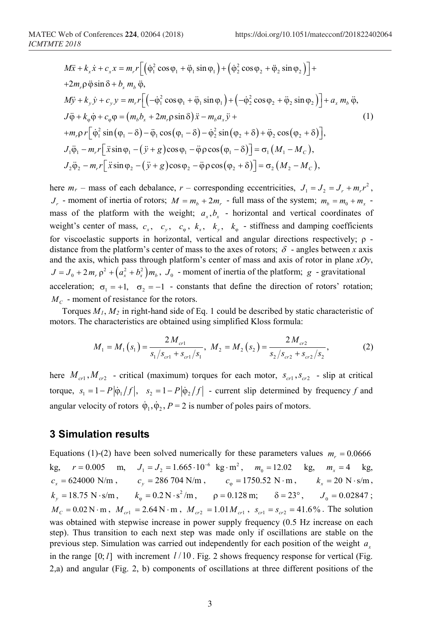$$
M\ddot{x} + k_x \dot{x} + c_x x = m_r r \Big[ (\dot{\varphi}_1^2 \cos \varphi_1 + \ddot{\varphi}_1 \sin \varphi_1) + (\dot{\varphi}_2^2 \cos \varphi_2 + \ddot{\varphi}_2 \sin \varphi_2) \Big] +
$$
  
+2m\_r \dot{\varphi} \ddot{\varphi} \sin \delta + b\_x m\_b \ddot{\varphi},  

$$
M\ddot{y} + k_y \dot{y} + c_y y = m_r r \Big[ (-\dot{\varphi}_1^2 \cos \varphi_1 + \ddot{\varphi}_1 \sin \varphi_1) + (-\dot{\varphi}_2^2 \cos \varphi_2 + \ddot{\varphi}_2 \sin \varphi_2) \Big] + a_x m_b \ddot{\varphi},
$$
  

$$
J\ddot{\varphi} + k_\varphi \dot{\varphi} + c_\varphi \varphi = (m_b b_x + 2m_r \varphi \sin \delta) \ddot{x} - m_b a_x \ddot{y} +
$$
  
+m\_r \dot{\varphi} r \Big[ \dot{\varphi}\_1^2 \sin (\varphi\_1 - \delta) - \ddot{\varphi}\_1 \cos (\varphi\_1 - \delta) - \dot{\varphi}\_2^2 \sin (\varphi\_2 + \delta) + \ddot{\varphi}\_2 \cos (\varphi\_2 + \delta) \Big],  

$$
J_1 \ddot{\varphi}_1 - m_r r \Big[ \ddot{x} \sin \varphi_1 - (\ddot{y} + g) \cos \varphi_1 - \ddot{\varphi} \rho \cos (\varphi_1 - \delta) \Big] = \sigma_1 \left( M_1 - M_c \right),
$$
  

$$
J_2 \ddot{\varphi}_2 - m_r r \Big[ \ddot{x} \sin \varphi_2 - (\ddot{y} + g) \cos \varphi_2 - \ddot{\varphi} \rho \cos (\varphi_2 + \delta) \Big] = \sigma_2 \left( M_2 - M_c \right),
$$

here  $m_r$  – mass of each debalance,  $r$  – corresponding eccentricities,  $J_1 = J_2 = J_r + m_r r^2$ ,  $J_r$  - moment of inertia of rotors;  $M = m_b + 2m_r$  - full mass of the system;  $m_b = m_0 + m_x$ mass of the platform with the weight;  $a_x$ ,  $b_x$  - horizontal and vertical coordinates of weight's center of mass,  $c_x$ ,  $c_y$ ,  $c_\varphi$ ,  $k_x$ ,  $k_y$ ,  $k_\varphi$  - stiffness and damping coefficients for viscoelastic supports in horizontal, vertical and angular directions respectively; ρ distance from the platform's center of mass to the axes of rotors;  $\delta$  - angles between *x* axis and the axis, which pass through platform's center of mass and axis of rotor in plane *xOy*,  $J = J_0 + 2m_r \rho^2 + (a_x^2 + b_x^2)m_b$ ,  $J_0$  - moment of inertia of the platform; *g* - gravitational acceleration;  $\sigma_1 = +1$ ,  $\sigma_2 = -1$  - constants that define the direction of rotors' rotation;  $M_c$  - moment of resistance for the rotors.

Torques *M1*, *M2* in right-hand side of Eq. 1 could be described by static characteristic of motors. The characteristics are obtained using simplified Kloss formula:

$$
M_1 = M_1(s_1) = \frac{2M_{cr1}}{s_1/s_{cr1} + s_{cr1}/s_1}, \ M_2 = M_2(s_2) = \frac{2M_{cr2}}{s_2/s_{cr2} + s_{cr2}/s_2}, \tag{2}
$$

here  $M_{cr}$ ,  $M_{cr2}$  - critical (maximum) torques for each motor,  $S_{cr1}$ ,  $S_{cr2}$  - slip at critical torque,  $s_1 = 1 - P |\dot{\phi}_1/f|$ ,  $s_2 = 1 - P |\dot{\phi}_2/f|$  - current slip determined by frequency *f* and angular velocity of rotors  $\dot{\varphi}_1$ ,  $\dot{\varphi}_2$ ,  $P = 2$  is number of poles pairs of motors.

#### **3 Simulation results**

Equations (1)-(2) have been solved numerically for these parameters values  $m<sub>r</sub> = 0.0666$ kg,  $r = 0.005$  m,  $J_1 = J_2 = 1.665 \cdot 10^{-6}$  kg $\cdot$  m<sup>2</sup>,  $m_0 = 12.02$  kg,  $m_x = 4$  kg,  $c_x = 624000 \text{ N/m}, \quad c_y = 286\,704 \text{ N/m}, \quad c_\text{0} = 1750.52 \text{ N} \cdot \text{m}, \quad k_x = 20 \text{ N} \cdot \text{s/m},$ *k<sub>y</sub>* = 18.75 N · s/m,  $k_{\varphi} = 0.2 \text{ N} \cdot \text{s}^2/\text{m}$ ,  $\rho = 0.128 \text{ m}$ ;  $\delta = 23^{\circ}$ ,  $J_0 = 0.02847$ ;  $M_c = 0.02$  N·m,  $M_{cr1} = 2.64$  N·m,  $M_{cr2} = 1.01 M_{cr1}$ ,  $S_{cr1} = S_{cr2} = 41.6$ %. The solution was obtained with stepwise increase in power supply frequency  $(0.5 \text{ Hz})$  increase on each step). Thus transition to each next step was made only if oscillations are stable on the previous step. Simulation was carried out independently for each position of the weight *<sup>x</sup> a* in the range  $[0; l]$  with increment  $l/10$ . Fig. 2 shows frequency response for vertical (Fig. 2,a) and angular (Fig. 2, b) components of oscillations at three different positions of the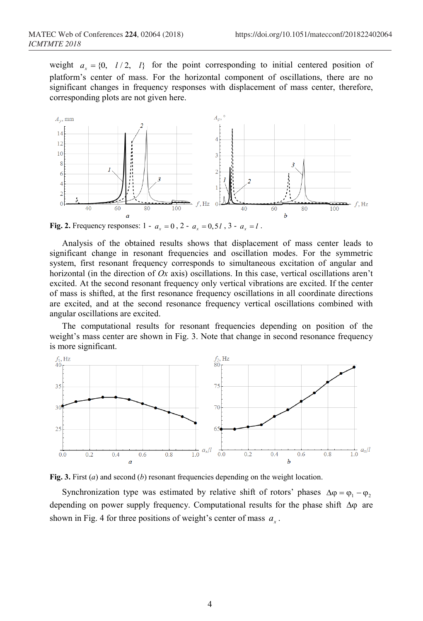weight  $a_r = \{0, l/2, l\}$  for the point corresponding to initial centered position of platform's center of mass. For the horizontal component of oscillations, there are no significant changes in frequency responses with displacement of mass center, therefore, corresponding plots are not given here.



**Fig. 2.** Frequency responses:  $1 - a_r = 0$ ,  $2 - a_r = 0.5l$ ,  $3 - a_r = l$ .

Analysis of the obtained results shows that displacement of mass center leads to significant change in resonant frequencies and oscillation modes. For the symmetric system, first resonant frequency corresponds to simultaneous excitation of angular and horizontal (in the direction of *Ox* axis) oscillations. In this case, vertical oscillations aren't excited. At the second resonant frequency only vertical vibrations are excited. If the center of mass is shifted, at the first resonance frequency oscillations in all coordinate directions are excited, and at the second resonance frequency vertical oscillations combined with angular oscillations are excited.

The computational results for resonant frequencies depending on position of the weight's mass center are shown in Fig. 3. Note that change in second resonance frequency is more significant.





Synchronization type was estimated by relative shift of rotors' phases  $\Delta \varphi = \varphi_1 - \varphi_2$ depending on power supply frequency. Computational results for the phase shift ∆ϕ are shown in Fig. 4 for three positions of weight's center of mass  $a<sub>r</sub>$ .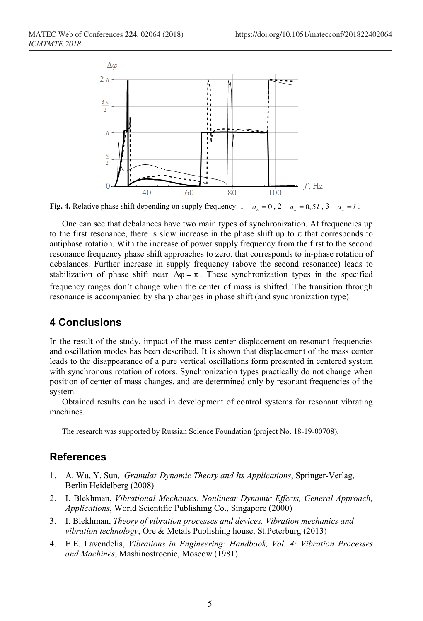

**Fig. 4.** Relative phase shift depending on supply frequency:  $1 - a_x = 0$ ,  $2 - a_x = 0.5l$ ,  $3 - a_x = l$ .

One can see that debalances have two main types of synchronization. At frequencies up to the first resonance, there is slow increase in the phase shift up to  $\pi$  that corresponds to antiphase rotation. With the increase of power supply frequency from the first to the second resonance frequency phase shift approaches to zero, that corresponds to in-phase rotation of debalances. Further increase in supply frequency (above the second resonance) leads to stabilization of phase shift near  $\Delta \phi = \pi$ . These synchronization types in the specified frequency ranges don't change when the center of mass is shifted. The transition through resonance is accompanied by sharp changes in phase shift (and synchronization type).

## **4 Conclusions**

In the result of the study, impact of the mass center displacement on resonant frequencies and oscillation modes has been described. It is shown that displacement of the mass center leads to the disappearance of a pure vertical oscillations form presented in centered system with synchronous rotation of rotors. Synchronization types practically do not change when position of center of mass changes, and are determined only by resonant frequencies of the system.

Obtained results can be used in development of control systems for resonant vibrating machines.

The research was supported by Russian Science Foundation (project No. 18-19-00708).

## **References**

- 1. A. Wu, Y. Sun, *Granular Dynamic Theory and Its Applications*, Springer-Verlag, Berlin Heidelberg (2008)
- 2. I. Blekhman, *Vibrational Mechanics. Nonlinear Dynamic Effects, General Approach, Applications*, World Scientific Publishing Co., Singapore (2000)
- 3. I. Blekhman, *Theory of vibration processes and devices. Vibration mechanics and vibration technology*, Ore & Metals Publishing house, St.Peterburg (2013)
- 4. E.E. Lavendelis, *Vibrations in Engineering: Handbook, Vol. 4: Vibration Processes and Machines*, Mashinostroenie, Moscow (1981)